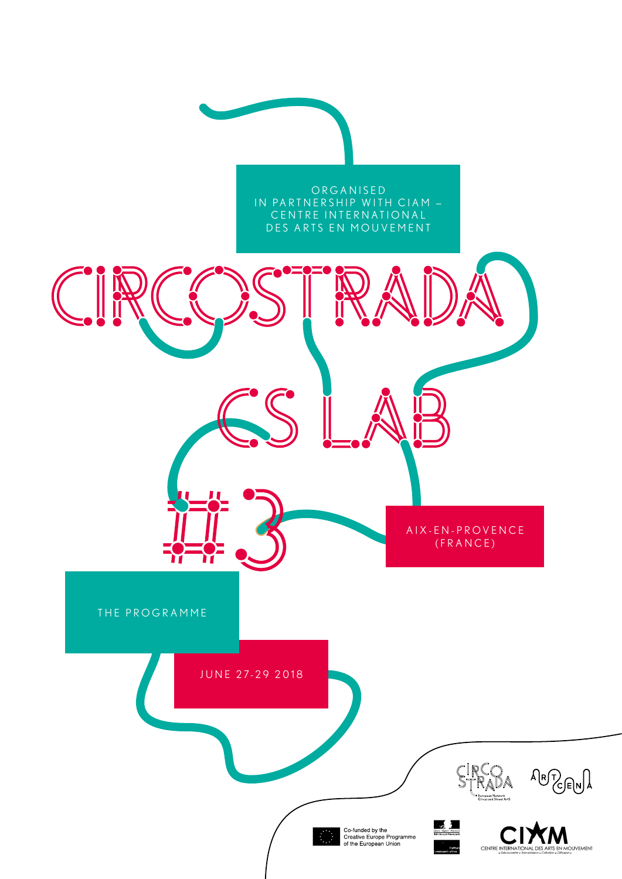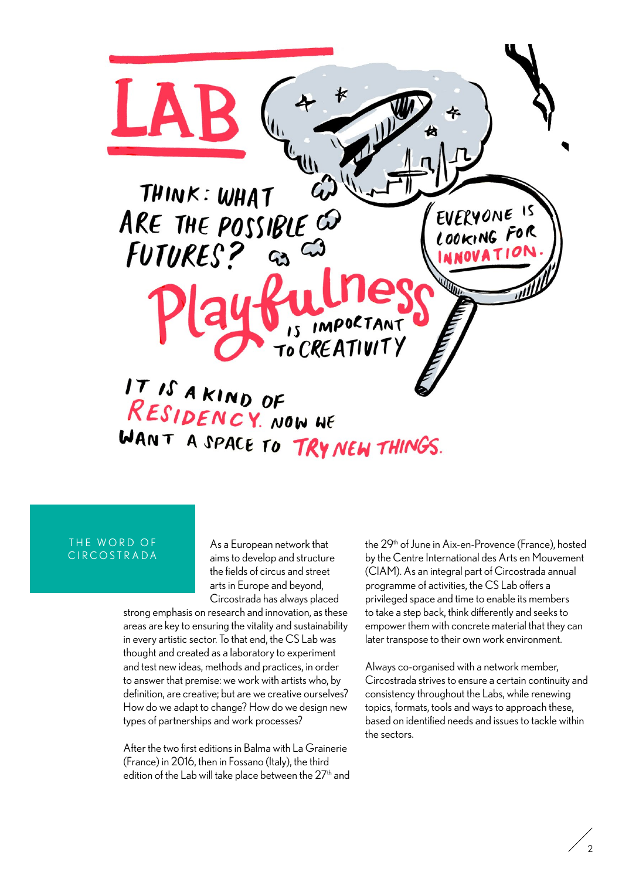

## THE WORD OF C I R C O S T R A D A

As a European network that aims to develop and structure the fields of circus and street arts in Europe and beyond, Circostrada has always placed

strong emphasis on research and innovation, as these areas are key to ensuring the vitality and sustainability in every artistic sector. To that end, the CS Lab was thought and created as a laboratory to experiment and test new ideas, methods and practices, in order to answer that premise: we work with artists who, by definition, are creative; but are we creative ourselves? How do we adapt to change? How do we design new types of partnerships and work processes?

After the two first editions in Balma with La Grainerie (France) in 2016, then in Fossano (Italy), the third edition of the Lab will take place between the 27<sup>th</sup> and the 29<sup>th</sup> of June in Aix-en-Provence (France), hosted by the Centre International des Arts en Mouvement (CIAM). As an integral part of Circostrada annual programme of activities, the CS Lab offers a privileged space and time to enable its members to take a step back, think differently and seeks to empower them with concrete material that they can later transpose to their own work environment.

Always co-organised with a network member, Circostrada strives to ensure a certain continuity and consistency throughout the Labs, while renewing topics, formats, tools and ways to approach these, based on identified needs and issues to tackle within the sectors.

 $\overline{2}$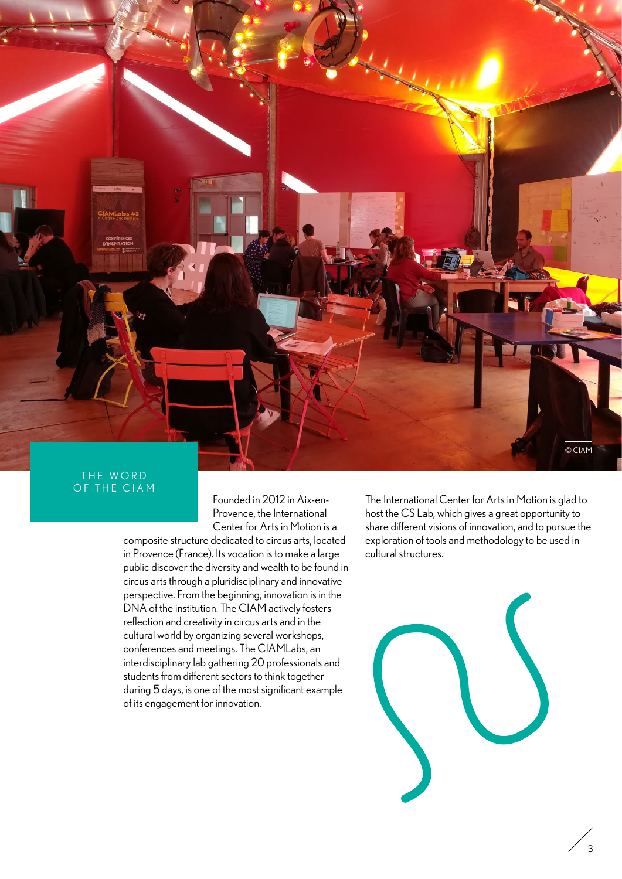

## THE WORD OF THE CIAM

Founded in 2012 in Aix-en-Provence, the International Center for Arts in Motion is a

composite structure dedicated to circus arts, located in Provence (France). Its vocation is to make a large public discover the diversity and wealth to be found in circus arts through a pluridisciplinary and innovative perspective. From the beginning, innovation is in the DNA of the institution. The CIAM actively fosters reflection and creativity in circus arts and in the cultural world by organizing several workshops, conferences and meetings. The CIAMLabs, an interdisciplinary lab gathering 20 professionals and students from different sectors to think together during 5 days, is one of the most significant example of its engagement for innovation.

The International Center for Arts in Motion is glad to host the CS Lab, which gives a great opportunity to share different visions of innovation, and to pursue the exploration of tools and methodology to be used in cultural structures.



 $\overline{3}$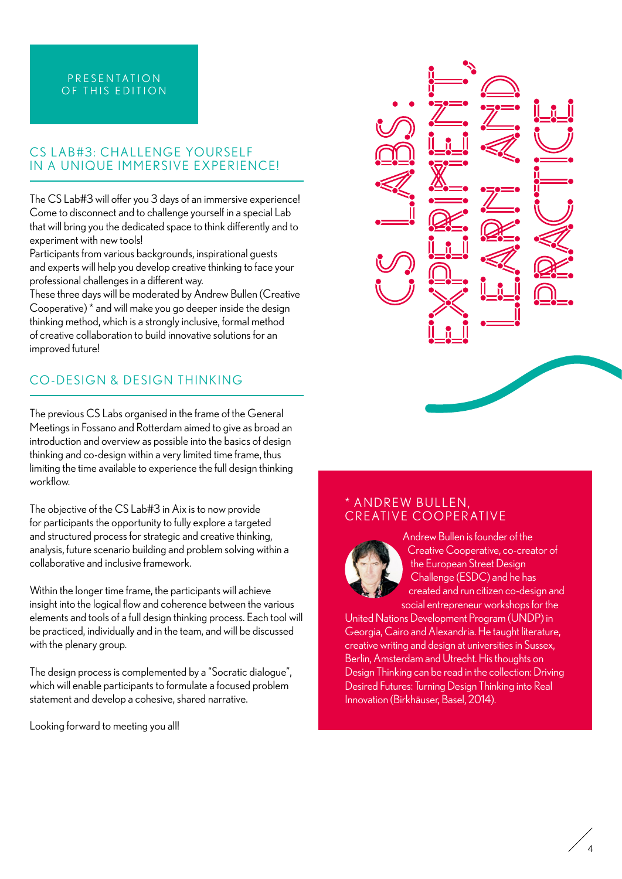# P R E S E N T A T I O N OF THIS EDITION

# CS LAB#3: CHALLENGE YOURSELF IN A UNIQUE IMMERSIVE EXPERIENCE!

The CS Lab#3 will offer you 3 days of an immersive experience! Come to disconnect and to challenge yourself in a special Lab that will bring you the dedicated space to think differently and to experiment with new tools!

Participants from various backgrounds, inspirational guests and experts will help you develop creative thinking to face your professional challenges in a different way.

These three days will be moderated by Andrew Bullen (Creative Cooperative) \* and will make you go deeper inside the design thinking method, which is a strongly inclusive, formal method of creative collaboration to build innovative solutions for an improved future!

# CO-DESIGN & DESIGN THINKING

The previous CS Labs organised in the frame of the General Meetings in Fossano and Rotterdam aimed to give as broad an introduction and overview as possible into the basics of design thinking and co-design within a very limited time frame, thus limiting the time available to experience the full design thinking workflow.

The objective of the CS Lab#3 in Aix is to now provide for participants the opportunity to fully explore a targeted and structured process for strategic and creative thinking, analysis, future scenario building and problem solving within a collaborative and inclusive framework.

Within the longer time frame, the participants will achieve insight into the logical flow and coherence between the various elements and tools of a full design thinking process. Each tool will be practiced, individually and in the team, and will be discussed with the plenary group.

The design process is complemented by a "Socratic dialogue", which will enable participants to formulate a focused problem statement and develop a cohesive, shared narrative.

Looking forward to meeting you all!



# \* ANDREW BULLEN, CREATIVE COOPERATIVE



Andrew Bullen is founder of the Creative Cooperative, co-creator of the European Street Design Challenge (ESDC) and he has created and run citizen co-design and social entrepreneur workshops for the

United Nations Development Program (UNDP) in Georgia, Cairo and Alexandria. He taught literature, creative writing and design at universities in Sussex, Berlin, Amsterdam and Utrecht. His thoughts on Design Thinking can be read in the collection: Driving Desired Futures: Turning Design Thinking into Real Innovation (Birkhäuser, Basel, 2014).

4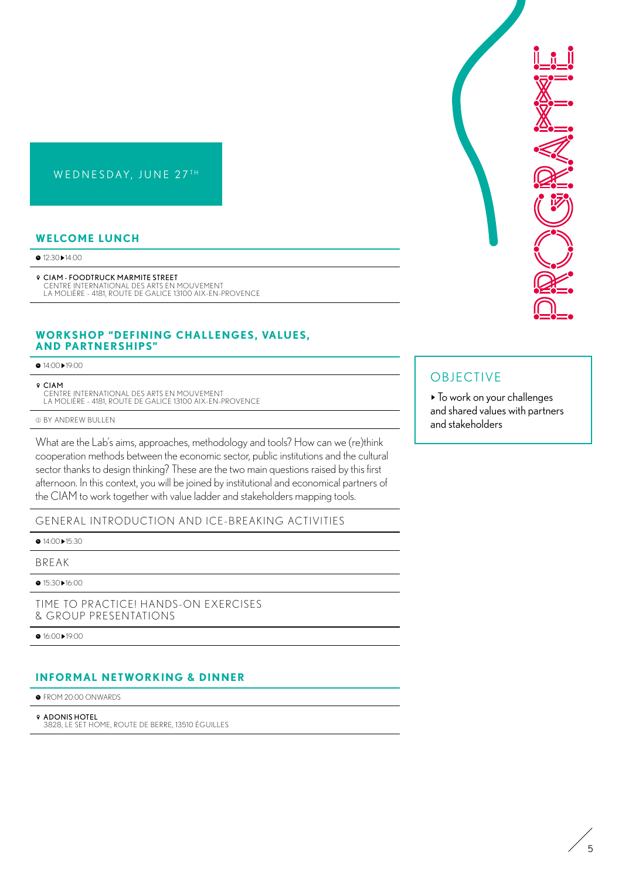# WEDNESDAY, JUNE 27TH

## **WELCOME LUNCH**

● 12:30 ▶ 14:00

BB CIAM - FOODTRUCK MARMITE STREET CENTRE INTERNATIONAL DES ARTS EN MOUVEMENT<br>LA MOLIÈRE - 4181, ROUTE DE GALICE 13100 AIX-EN-PROVENCE

## **WORKSHOP "DEFINING CHALLENGES, VALUES, AND PARTNERSHIPS"**

● 14:00▶19:00

BB CIAM

CENTRE INTERNATIONAL DES ARTS EN MOUVEMENT LA MOLIÈRE - 4181, ROUTE DE GALICE 13100 AIX-EN-PROVENCE

EE BY ANDREW BULLEN

What are the Lab's aims, approaches, methodology and tools? How can we (re)think cooperation methods between the economic sector, public institutions and the cultural sector thanks to design thinking? These are the two main questions raised by this first afternoon. In this context, you will be joined by institutional and economical partners of the CIAM to work together with value ladder and stakeholders mapping tools.

GENERAL INTRODUCTION AND ICE-BREAKING ACTIVITIES

● 14:00 ▶ 15:30

BREAK

● 15:30▶16:00

TIME TO PRACTICE! HANDS-ON EXERCISES & GROUP PRESENTATIONS

● 16:00▶19:00

# **INFORMAL NETWORKING & DINNER**

 $\bullet$  FROM 20:00 ONWARDS

*<b>Q* ADONIS HOTEL

3828, LE SET HOME, ROUTE DE BERRE, 13510 ÉGUILLES



# OBJECTIVE

 $\blacktriangleright$  To work on your challenges and shared values with partners and stakeholders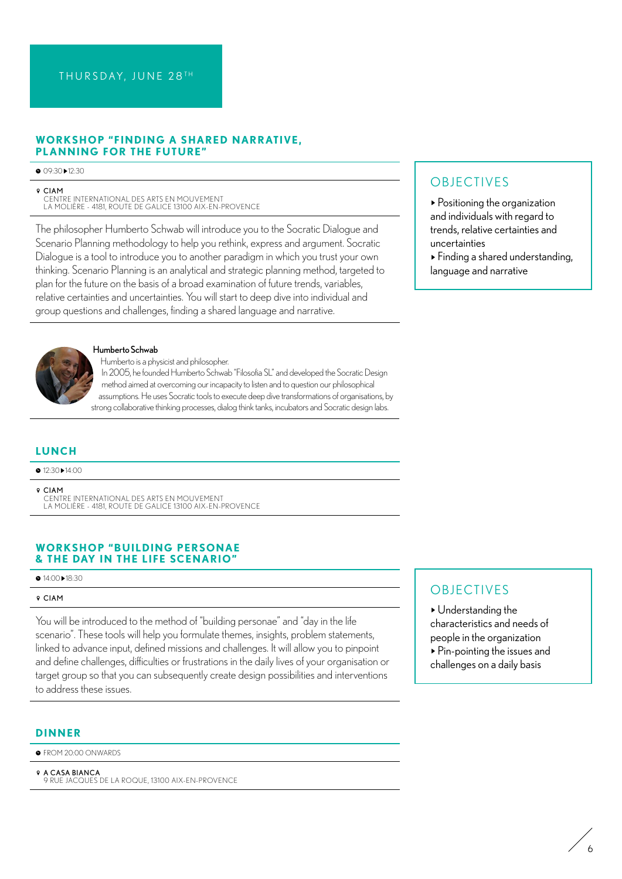## **WORKSHOP "FINDING A SHARED NARRATIVE, PLANNING FOR THE FUTURE"**

#### AA 09:30-12:30

#### BB CIAM

CENTRE INTERNATIONAL DES ARTS EN MOUVEMENT LA MOLIÈRE - 4181, ROUTE DE GALICE 13100 AIX-EN-PROVENCE

The philosopher Humberto Schwab will introduce you to the Socratic Dialogue and Scenario Planning methodology to help you rethink, express and argument. Socratic Dialogue is a tool to introduce you to another paradigm in which you trust your own thinking. Scenario Planning is an analytical and strategic planning method, targeted to plan for the future on the basis of a broad examination of future trends, variables, relative certainties and uncertainties. You will start to deep dive into individual and group questions and challenges, finding a shared language and narrative.



### Humberto Schwab

Humberto is a physicist and philosopher.

In 2005, he founded Humberto Schwab "Filosofia SL" and developed the Socratic Design method aimed at overcoming our incapacity to listen and to question our philosophical assumptions. He uses Socratic tools to execute deep dive transformations of organisations, by strong collaborative thinking processes, dialog think tanks, incubators and Socratic design labs.

## **LUNCH**

AA 12:30-14:00

BB CIAM

CENTRE INTERNATIONAL DES ARTS EN MOUVEMENT LA MOLIÈRE - 4181, ROUTE DE GALICE 13100 AIX-EN-PROVENCE

## **WORKSHOP "BUILDING PERSONAE & THE DAY IN THE LIFE SCENARIO"**

### ● 14:00▶18:30

#### BB CIAM

You will be introduced to the method of "building personae" and "day in the life scenario". These tools will help you formulate themes, insights, problem statements, linked to advance input, defined missions and challenges. It will allow you to pinpoint and define challenges, difficulties or frustrations in the daily lives of your organisation or target group so that you can subsequently create design possibilities and interventions to address these issues.

### **DINNER**

 $\bullet$  FROM 20:00 ONWARDS

 $9$  A CASA BIANCA 9 RUE JACQUES DE LA ROQUE, 13100 AIX-EN-PROVENCE

# **OBJECTIVES**

- Positioning the organization and individuals with regard to trends, relative certainties and uncertainties

- Finding a shared understanding, language and narrative

# **OBJECTIVES**

-Understanding the characteristics and needs of people in the organization - Pin-pointing the issues and challenges on a daily basis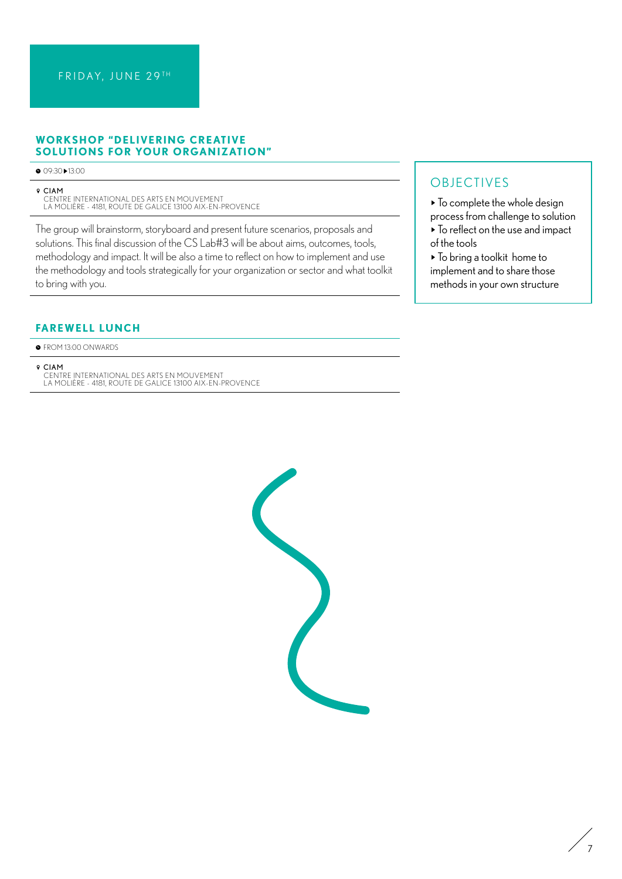## **WORKSHOP "DELIVERING CREATIVE SOLUTIONS FOR YOUR ORGANIZATION"**

AA 09:30-13:00

BB CIAM

CENTRE INTERNATIONAL DES ARTS EN MOUVEMENT<br>LA MOLIÈRE - 4181, ROUTE DE GALICE 13100 AIX-EN-PROVENCE

The group will brainstorm, storyboard and present future scenarios, proposals and solutions. This final discussion of the CS Lab#3 will be about aims, outcomes, tools, methodology and impact. It will be also a time to reflect on how to implement and use the methodology and tools strategically for your organization or sector and what toolkit to bring with you.

# **FAREWELL LUNCH**

 $\bullet$  FROM 13:00 ONWARDS

**9 CIAM**<br>CENTRE INTERNATIONAL DES ARTS EN MOUVEMENT<br>LA MOLIÈRE - 4181, ROUTE DE GALICE 13100 AIX-EN-PROVENCE

# OBJECTIVES

 $\blacktriangleright$  To complete the whole design

- process from challenge to solution - To reflect on the use and impact of the tools
- To bring a toolkit home to implement and to share those methods in your own structure

7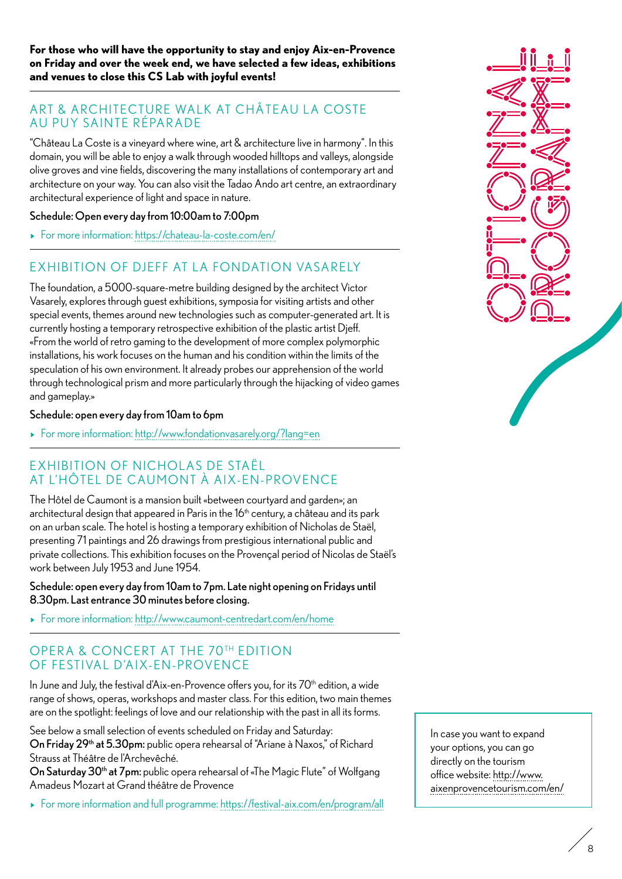**For those who will have the opportunity to stay and enjoy Aix-en-Provence on Friday and over the week end, we have selected a few ideas, exhibitions and venues to close this CS Lab with joyful events!** 

# ART & ARCHITECTURE WALK AT CHÂTEAU LA COSTE AU PUY SAINTE RÉPAR ADE

"Château La Coste is a vineyard where wine, art & architecture live in harmony". In this domain, you will be able to enjoy a walk through wooded hilltops and valleys, alongside olive groves and vine fields, discovering the many installations of contemporary art and architecture on your way. You can also visit the Tadao Ando art centre, an extraordinary architectural experience of light and space in nature.

## Schedule: Open every day from 10:00am to 7:00pm

- For more information:<https://chateau-la-coste.com/en/>

# EXHIBITION OF DIEFF AT LA FONDATION VASARELY

The foundation, a 5000-square-metre building designed by the architect Victor Vasarely, explores through guest exhibitions, symposia for visiting artists and other special events, themes around new technologies such as computer-generated art. It is currently hosting a temporary retrospective exhibition of the plastic artist Djeff. «From the world of retro gaming to the development of more complex polymorphic installations, his work focuses on the human and his condition within the limits of the speculation of his own environment. It already probes our apprehension of the world through technological prism and more particularly through the hijacking of video games and gameplay.»

## Schedule: open every day from 10am to 6pm

- For more information:<http://www.fondationvasarely.org/?lang=en>

# EXHIBITION OF NICHOLAS DE STAËL AT L'HÔTEL DE CAUMONT À AIX-EN-PROVENCE

The Hôtel de Caumont is a mansion built «between courtyard and garden»; an architectural design that appeared in Paris in the  $16<sup>th</sup>$  century, a château and its park on an urban scale. The hotel is hosting a temporary exhibition of Nicholas de Staël, presenting 71 paintings and 26 drawings from prestigious international public and private collections. This exhibition focuses on the Provençal period of Nicolas de Staël's work between July 1953 and June 1954.

## Schedule: open every day from 10am to 7pm. Late night opening on Fridays until 8.30pm. Last entrance 30 minutes before closing.

- For more information:<http://www.caumont-centredart.com/en/home>

# OPERA & CONCERT AT THE 70TH EDITION OF FESTIVAL D'AIX-EN-PROVENCE

In June and July, the festival d'Aix-en-Provence offers you, for its  $70<sup>th</sup>$  edition, a wide range of shows, operas, workshops and master class. For this edition, two main themes are on the spotlight: feelings of love and our relationship with the past in all its forms.

See below a small selection of events scheduled on Friday and Saturday: On Friday 29<sup>th</sup> at 5.30pm: public opera rehearsal of "Ariane à Naxos," of Richard Strauss at Théâtre de l'Archevêché.

On Saturday 30<sup>th</sup> at 7pm: public opera rehearsal of «The Magic Flute" of Wolfgang Amadeus Mozart at Grand théâtre de Provence

- For more information and full programme:<https://festival-aix.com/en/program/all>



In case you want to expand your options, you can go directly on the tourism office website: [http://www.](http://www.aixenprovencetourism.com/en/) [aixenprovencetourism.com/en/](http://www.aixenprovencetourism.com/en/)